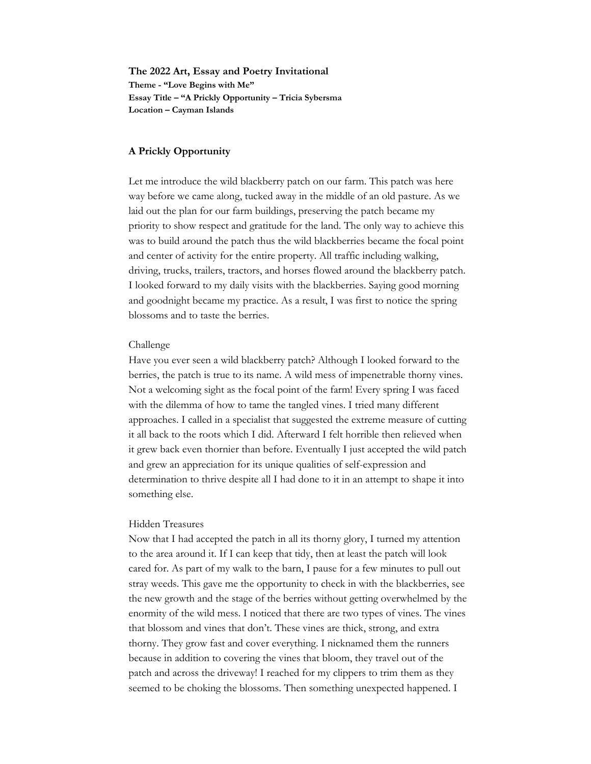**The 2022 Art, Essay and Poetry Invitational Theme - "Love Begins with Me" Essay Title – "A Prickly Opportunity – Tricia Sybersma Location – Cayman Islands** 

## **A Prickly Opportunity**

Let me introduce the wild blackberry patch on our farm. This patch was here way before we came along, tucked away in the middle of an old pasture. As we laid out the plan for our farm buildings, preserving the patch became my priority to show respect and gratitude for the land. The only way to achieve this was to build around the patch thus the wild blackberries became the focal point and center of activity for the entire property. All traffic including walking, driving, trucks, trailers, tractors, and horses flowed around the blackberry patch. I looked forward to my daily visits with the blackberries. Saying good morning and goodnight became my practice. As a result, I was first to notice the spring blossoms and to taste the berries.

#### Challenge

Have you ever seen a wild blackberry patch? Although I looked forward to the berries, the patch is true to its name. A wild mess of impenetrable thorny vines. Not a welcoming sight as the focal point of the farm! Every spring I was faced with the dilemma of how to tame the tangled vines. I tried many different approaches. I called in a specialist that suggested the extreme measure of cutting it all back to the roots which I did. Afterward I felt horrible then relieved when it grew back even thornier than before. Eventually I just accepted the wild patch and grew an appreciation for its unique qualities of self-expression and determination to thrive despite all I had done to it in an attempt to shape it into something else.

#### Hidden Treasures

Now that I had accepted the patch in all its thorny glory, I turned my attention to the area around it. If I can keep that tidy, then at least the patch will look cared for. As part of my walk to the barn, I pause for a few minutes to pull out stray weeds. This gave me the opportunity to check in with the blackberries, see the new growth and the stage of the berries without getting overwhelmed by the enormity of the wild mess. I noticed that there are two types of vines. The vines that blossom and vines that don't. These vines are thick, strong, and extra thorny. They grow fast and cover everything. I nicknamed them the runners because in addition to covering the vines that bloom, they travel out of the patch and across the driveway! I reached for my clippers to trim them as they seemed to be choking the blossoms. Then something unexpected happened. I